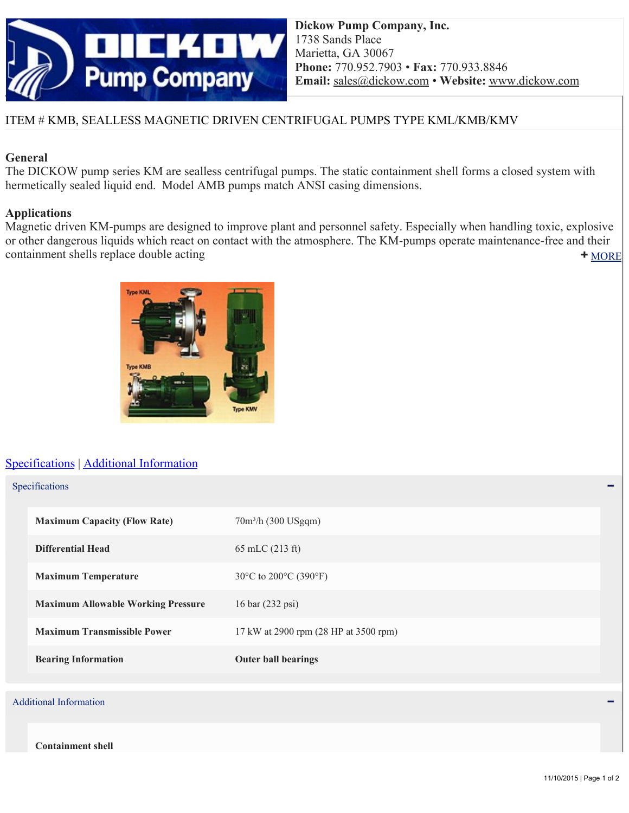

# ITEM # KMB, SEALLESS MAGNETIC DRIVEN CENTRIFUGAL PUMPS TYPE KML/KMB/KMV

## **General**

The DICKOW pump series KM are sealless centrifugal pumps. The static containment shell forms a closed system with hermetically sealed liquid end. Model AMB pumps match ANSI casing dimensions.

### **Applications**

[MORE](http://pumpcatalog.dickow.com/printitem/vertical-pumps-with-magnetic-coupling/magnetic-driven-centrifugal-pumps-type-kml-kmb-kmv/kmb?dlpdf=t#) Magnetic driven KM-pumps are designed to improve plant and personnel safety. Especially when handling toxic, explosive or other dangerous liquids which react on contact with the atmosphere. The KM-pumps operate maintenance-free and their containment shells replace double acting



# [Specifications](http://pumpcatalog.dickow.com/printitem/vertical-pumps-with-magnetic-coupling/magnetic-driven-centrifugal-pumps-type-kml-kmb-kmv/kmb?dlpdf=t#Specifications) | [Additional Information](http://pumpcatalog.dickow.com/printitem/vertical-pumps-with-magnetic-coupling/magnetic-driven-centrifugal-pumps-type-kml-kmb-kmv/kmb?dlpdf=t#Additional Information)

| Specifications |
|----------------|
|----------------|

| <b>Maximum Capacity (Flow Rate)</b>       | $70m^3/h$ (300 USgqm)                               |
|-------------------------------------------|-----------------------------------------------------|
| <b>Differential Head</b>                  | $65$ mLC $(213$ ft)                                 |
| <b>Maximum Temperature</b>                | 30 $\degree$ C to 200 $\degree$ C (390 $\degree$ F) |
| <b>Maximum Allowable Working Pressure</b> | 16 bar (232 psi)                                    |
| <b>Maximum Transmissible Power</b>        | 17 kW at 2900 rpm (28 HP at 3500 rpm)               |
| <b>Bearing Information</b>                | <b>Outer ball bearings</b>                          |
|                                           |                                                     |
| <b>Additional Information</b>             |                                                     |